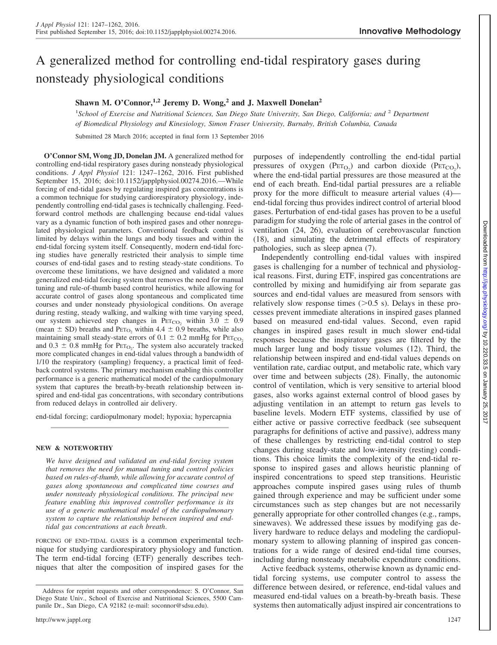# A generalized method for controlling end-tidal respiratory gases during nonsteady physiological conditions

# **Shawn M. O'Connor,1,2 Jeremy D. Wong,<sup>2</sup> and J. Maxwell Donelan<sup>2</sup>**

<sup>1</sup>School of Exercise and Nutritional Sciences, San Diego State University, San Diego, California; and <sup>2</sup> Department *of Biomedical Physiology and Kinesiology, Simon Fraser University, Burnaby, British Columbia, Canada*

Submitted 28 March 2016; accepted in final form 13 September 2016

**O'Connor SM, Wong JD, Donelan JM.** A generalized method for controlling end-tidal respiratory gases during nonsteady physiological conditions. *J Appl Physiol* 121: 1247–1262, 2016. First published September 15, 2016; doi:10.1152/japplphysiol.00274.2016.—While forcing of end-tidal gases by regulating inspired gas concentrations is a common technique for studying cardiorespiratory physiology, independently controlling end-tidal gases is technically challenging. Feedforward control methods are challenging because end-tidal values vary as a dynamic function of both inspired gases and other nonregulated physiological parameters. Conventional feedback control is limited by delays within the lungs and body tissues and within the end-tidal forcing system itself. Consequently, modern end-tidal forcing studies have generally restricted their analysis to simple time courses of end-tidal gases and to resting steady-state conditions. To overcome these limitations, we have designed and validated a more generalized end-tidal forcing system that removes the need for manual tuning and rule-of-thumb based control heuristics, while allowing for accurate control of gases along spontaneous and complicated time courses and under nonsteady physiological conditions. On average during resting, steady walking, and walking with time varying speed, our system achieved step changes in  $PETCO<sub>2</sub>$  within 3.0  $\pm$  0.9 (mean  $\pm$  SD) breaths and PET<sub>O<sub>2</sub></sub> within 4.4  $\pm$  0.9 breaths, while also maintaining small steady-state errors of  $0.1 \pm 0.2$  mmHg for  $PET<sub>CO<sub>2</sub>}</sub>$ and  $0.3 \pm 0.8$  mmHg for P $E_{\text{TO}_2}$ . The system also accurately tracked more complicated changes in end-tidal values through a bandwidth of 1/10 the respiratory (sampling) frequency, a practical limit of feedback control systems. The primary mechanism enabling this controller performance is a generic mathematical model of the cardiopulmonary system that captures the breath-by-breath relationship between inspired and end-tidal gas concentrations, with secondary contributions from reduced delays in controlled air delivery.

end-tidal forcing; cardiopulmonary model; hypoxia; hypercapnia

# **NEW & NOTEWORTHY**

*We have designed and validated an end-tidal forcing system that removes the need for manual tuning and control policies based on rules-of-thumb, while allowing for accurate control of gases along spontaneous and complicated time courses and under nonsteady physiological conditions. The principal new feature enabling this improved controller performance is its use of a generic mathematical model of the cardiopulmonary system to capture the relationship between inspired and endtidal gas concentrations at each breath*.

FORCING OF END-TIDAL GASES is a common experimental technique for studying cardiorespiratory physiology and function. The term end-tidal forcing (ETF) generally describes techniques that alter the composition of inspired gases for the purposes of independently controlling the end-tidal partial pressures of oxygen ( $P_{ETO_2}$ ) and carbon dioxide ( $P_{ETCO_2}$ ), where the end-tidal partial pressures are those measured at the end of each breath. End-tidal partial pressures are a reliable proxy for the more difficult to measure arterial values (4) end-tidal forcing thus provides indirect control of arterial blood gases. Perturbation of end-tidal gases has proven to be a useful paradigm for studying the role of arterial gases in the control of ventilation (24, 26), evaluation of cerebrovascular function (18), and simulating the detrimental effects of respiratory pathologies, such as sleep apnea (7).

Independently controlling end-tidal values with inspired gases is challenging for a number of technical and physiological reasons. First, during ETF, inspired gas concentrations are controlled by mixing and humidifying air from separate gas sources and end-tidal values are measured from sensors with relatively slow response times  $(>0.5 \text{ s})$ . Delays in these processes prevent immediate alterations in inspired gases planned based on measured end-tidal values. Second, even rapid changes in inspired gases result in much slower end-tidal responses because the inspiratory gases are filtered by the much larger lung and body tissue volumes (12). Third, the relationship between inspired and end-tidal values depends on ventilation rate, cardiac output, and metabolic rate, which vary over time and between subjects (28). Finally, the autonomic control of ventilation, which is very sensitive to arterial blood gases, also works against external control of blood gases by adjusting ventilation in an attempt to return gas levels to baseline levels. Modern ETF systems, classified by use of either active or passive corrective feedback (see subsequent paragraphs for definitions of active and passive), address many of these challenges by restricting end-tidal control to step changes during steady-state and low-intensity (resting) conditions. This choice limits the complexity of the end-tidal response to inspired gases and allows heuristic planning of inspired concentrations to speed step transitions. Heuristic approaches compute inspired gases using rules of thumb gained through experience and may be sufficient under some circumstances such as step changes but are not necessarily generally appropriate for other controlled changes (e.g., ramps, sinewaves). We addressed these issues by modifying gas delivery hardware to reduce delays and modeling the cardiopulmonary system to allowing planning of inspired gas concentrations for a wide range of desired end-tidal time courses, including during nonsteady metabolic expenditure conditions.

Active feedback systems, otherwise known as dynamic endtidal forcing systems, use computer control to assess the difference between desired, or reference, end-tidal values and measured end-tidal values on a breath-by-breath basis. These systems then automatically adjust inspired air concentrations to

Address for reprint requests and other correspondence: S. O'Connor, San Diego State Univ., School of Exercise and Nutritional Sciences, 5500 Campanile Dr., San Diego, CA 92182 (e-mail: [soconnor@sdsu.edu\)](mailto:soconnor@sdsu.edu).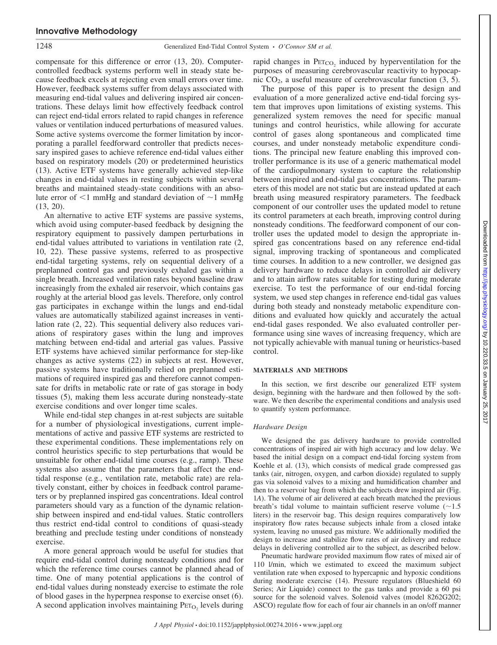compensate for this difference or error (13, 20). Computercontrolled feedback systems perform well in steady state because feedback excels at rejecting even small errors over time. However, feedback systems suffer from delays associated with measuring end-tidal values and delivering inspired air concentrations. These delays limit how effectively feedback control can reject end-tidal errors related to rapid changes in reference values or ventilation induced perturbations of measured values. Some active systems overcome the former limitation by incorporating a parallel feedforward controller that predicts necessary inspired gases to achieve reference end-tidal values either based on respiratory models (20) or predetermined heuristics (13). Active ETF systems have generally achieved step-like changes in end-tidal values in resting subjects within several breaths and maintained steady-state conditions with an absolute error of  $\leq 1$  mmHg and standard deviation of  $\sim 1$  mmHg (13, 20).

An alternative to active ETF systems are passive systems, which avoid using computer-based feedback by designing the respiratory equipment to passively dampen perturbations in end-tidal values attributed to variations in ventilation rate (2, 10, 22). These passive systems, referred to as prospective end-tidal targeting systems, rely on sequential delivery of a preplanned control gas and previously exhaled gas within a single breath. Increased ventilation rates beyond baseline draw increasingly from the exhaled air reservoir, which contains gas roughly at the arterial blood gas levels. Therefore, only control gas participates in exchange within the lungs and end-tidal values are automatically stabilized against increases in ventilation rate (2, 22). This sequential delivery also reduces variations of respiratory gases within the lung and improves matching between end-tidal and arterial gas values. Passive ETF systems have achieved similar performance for step-like changes as active systems (22) in subjects at rest. However, passive systems have traditionally relied on preplanned estimations of required inspired gas and therefore cannot compensate for drifts in metabolic rate or rate of gas storage in body tissues (5), making them less accurate during nonsteady-state exercise conditions and over longer time scales.

While end-tidal step changes in at-rest subjects are suitable for a number of physiological investigations, current implementations of active and passive ETF systems are restricted to these experimental conditions. These implementations rely on control heuristics specific to step perturbations that would be unsuitable for other end-tidal time courses (e.g., ramp). These systems also assume that the parameters that affect the endtidal response (e.g., ventilation rate, metabolic rate) are relatively constant, either by choices in feedback control parameters or by preplanned inspired gas concentrations. Ideal control parameters should vary as a function of the dynamic relationship between inspired and end-tidal values. Static controllers thus restrict end-tidal control to conditions of quasi-steady breathing and preclude testing under conditions of nonsteady exercise.

A more general approach would be useful for studies that require end-tidal control during nonsteady conditions and for which the reference time courses cannot be planned ahead of time. One of many potential applications is the control of end-tidal values during nonsteady exercise to estimate the role of blood gases in the hyperpnea response to exercise onset (6). A second application involves maintaining  $PET<sub>O<sub>2</sub></sub>$  levels during

rapid changes in  $PETCO$ , induced by hyperventilation for the purposes of measuring cerebrovascular reactivity to hypocapnic  $CO<sub>2</sub>$ , a useful measure of cerebrovascular function  $(3, 5)$ .

The purpose of this paper is to present the design and evaluation of a more generalized active end-tidal forcing system that improves upon limitations of existing systems. This generalized system removes the need for specific manual tunings and control heuristics, while allowing for accurate control of gases along spontaneous and complicated time courses, and under nonsteady metabolic expenditure conditions. The principal new feature enabling this improved controller performance is its use of a generic mathematical model of the cardiopulmonary system to capture the relationship between inspired and end-tidal gas concentrations. The parameters of this model are not static but are instead updated at each breath using measured respiratory parameters. The feedback component of our controller uses the updated model to retune its control parameters at each breath, improving control during nonsteady conditions. The feedforward component of our controller uses the updated model to design the appropriate inspired gas concentrations based on any reference end-tidal signal, improving tracking of spontaneous and complicated time courses. In addition to a new controller, we designed gas delivery hardware to reduce delays in controlled air delivery and to attain airflow rates suitable for testing during moderate exercise. To test the performance of our end-tidal forcing system, we used step changes in reference end-tidal gas values during both steady and nonsteady metabolic expenditure conditions and evaluated how quickly and accurately the actual end-tidal gases responded. We also evaluated controller performance using sine waves of increasing frequency, which are not typically achievable with manual tuning or heuristics-based control.

### **MATERIALS AND METHODS**

In this section, we first describe our generalized ETF system design, beginning with the hardware and then followed by the software. We then describe the experimental conditions and analysis used to quantify system performance.

#### *Hardware Design*

We designed the gas delivery hardware to provide controlled concentrations of inspired air with high accuracy and low delay. We based the initial design on a compact end-tidal forcing system from Koehle et al. (13), which consists of medical grade compressed gas tanks (air, nitrogen, oxygen, and carbon dioxide) regulated to supply gas via solenoid valves to a mixing and humidification chamber and then to a reservoir bag from which the subjects drew inspired air (Fig. 1*A*). The volume of air delivered at each breath matched the previous breath's tidal volume to maintain sufficient reserve volume  $(\sim 1.5)$ liters) in the reservoir bag. This design requires comparatively low inspiratory flow rates because subjects inhale from a closed intake system, leaving no unused gas mixture. We additionally modified the design to increase and stabilize flow rates of air delivery and reduce delays in delivering controlled air to the subject, as described below.

Pneumatic hardware provided maximum flow rates of mixed air of 110 l/min, which we estimated to exceed the maximum subject ventilation rate when exposed to hypercapnic and hypoxic conditions during moderate exercise (14). Pressure regulators (Blueshield 60 Series; Air Liquide) connect to the gas tanks and provide a 60 psi source for the solenoid valves. Solenoid valves (model 8262G202; ASCO) regulate flow for each of four air channels in an on/off manner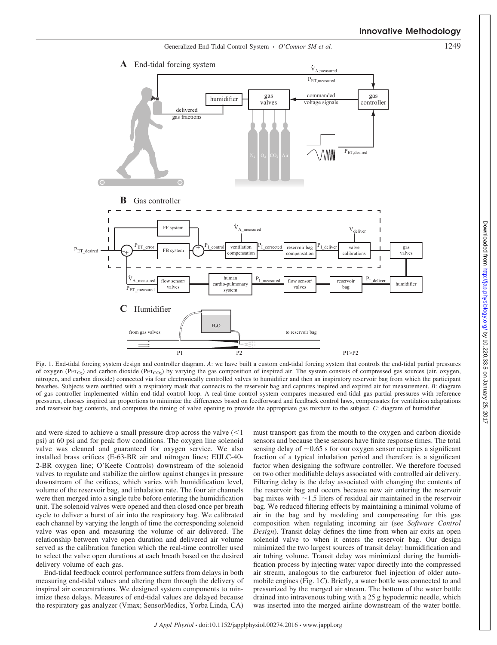

Fig. 1. End-tidal forcing system design and controller diagram. *A*: we have built a custom end-tidal forcing system that controls the end-tidal partial pressures of oxygen (PET<sub>O2</sub>) and carbon dioxide (PET<sub>CO2</sub>) by varying the gas composition of inspired air. The system consists of compressed gas sources (air, oxygen, nitrogen, and carbon dioxide) connected via four electronically controlled valves to humidifier and then an inspiratory reservoir bag from which the participant breathes. Subjects were outfitted with a respiratory mask that connects to the reservoir bag and captures inspired and expired air for measurement. *B*: diagram of gas controller implemented within end-tidal control loop. A real-time control system compares measured end-tidal gas partial pressures with reference pressures, chooses inspired air proportions to minimize the differences based on feedforward and feedback control laws, compensates for ventilation adaptations and reservoir bag contents, and computes the timing of valve opening to provide the appropriate gas mixture to the subject. *C*: diagram of humidifier.

and were sized to achieve a small pressure drop across the valve  $\leq 1$ psi) at 60 psi and for peak flow conditions. The oxygen line solenoid valve was cleaned and guaranteed for oxygen service. We also installed brass orifices (E-63-BR air and nitrogen lines; EIJLC-40- 2-BR oxygen line; O'Keefe Controls) downstream of the solenoid valves to regulate and stabilize the airflow against changes in pressure downstream of the orifices, which varies with humidification level, volume of the reservoir bag, and inhalation rate. The four air channels were then merged into a single tube before entering the humidification unit. The solenoid valves were opened and then closed once per breath cycle to deliver a burst of air into the respiratory bag. We calibrated each channel by varying the length of time the corresponding solenoid valve was open and measuring the volume of air delivered. The relationship between valve open duration and delivered air volume served as the calibration function which the real-time controller used to select the valve open durations at each breath based on the desired delivery volume of each gas.

End-tidal feedback control performance suffers from delays in both measuring end-tidal values and altering them through the delivery of inspired air concentrations. We designed system components to minimize these delays. Measures of end-tidal values are delayed because the respiratory gas analyzer (Vmax; SensorMedics, Yorba Linda, CA)

must transport gas from the mouth to the oxygen and carbon dioxide sensors and because these sensors have finite response times. The total sensing delay of  $\sim 0.65$  s for our oxygen sensor occupies a significant fraction of a typical inhalation period and therefore is a significant factor when designing the software controller. We therefore focused on two other modifiable delays associated with controlled air delivery. Filtering delay is the delay associated with changing the contents of the reservoir bag and occurs because new air entering the reservoir bag mixes with  $\sim$  1.5 liters of residual air maintained in the reservoir bag. We reduced filtering effects by maintaining a minimal volume of air in the bag and by modeling and compensating for this gas composition when regulating incoming air (see *Software Control Design*). Transit delay defines the time from when air exits an open solenoid valve to when it enters the reservoir bag. Our design minimized the two largest sources of transit delay: humidification and air tubing volume. Transit delay was minimized during the humidification process by injecting water vapor directly into the compressed air stream, analogous to the carburetor fuel injection of older automobile engines (Fig. 1*C*). Briefly, a water bottle was connected to and pressurized by the merged air stream. The bottom of the water bottle drained into intravenous tubing with a 25 g hypodermic needle, which was inserted into the merged airline downstream of the water bottle.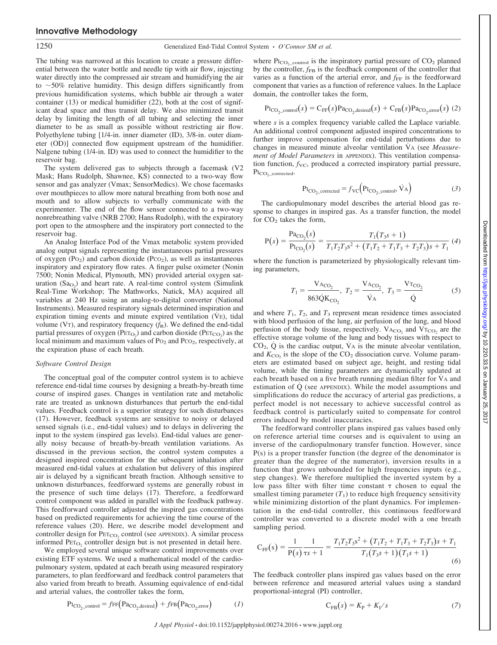The tubing was narrowed at this location to create a pressure differential between the water bottle and needle tip with air flow, injecting water directly into the compressed air stream and humidifying the air to  $~50\%$  relative humidity. This design differs significantly from previous humidification systems, which bubble air through a water container (13) or medical humidifier (22), both at the cost of significant dead space and thus transit delay. We also minimized transit delay by limiting the length of all tubing and selecting the inner diameter to be as small as possible without restricting air flow. Polyethylene tubing [1/4-in. inner diameter (ID), 3/8-in. outer diameter (OD)] connected flow equipment upstream of the humidifier. Nalgene tubing (1/4-in. ID) was used to connect the humidifier to the reservoir bag.

The system delivered gas to subjects through a facemask (V2 Mask; Hans Rudolph, Shawnee, KS) connected to a two-way flow sensor and gas analyzer (Vmax; SensorMedics). We chose facemasks over mouthpieces to allow more natural breathing from both nose and mouth and to allow subjects to verbally communicate with the experimenter. The end of the flow sensor connected to a two-way nonrebreathing valve (NRB 2700; Hans Rudolph), with the expiratory port open to the atmosphere and the inspiratory port connected to the reservoir bag.

An Analog Interface Pod of the Vmax metabolic system provided analog output signals representing the instantaneous partial pressures of oxygen  $(Po_2)$  and carbon dioxide  $(Pco_2)$ , as well as instantaneous inspiratory and expiratory flow rates. A finger pulse oximeter (Nonin 7500; Nonin Medical, Plymouth, MN) provided arterial oxygen saturation  $(Sa_{O_2})$  and heart rate. A real-time control system (Simulink Real-Time Workshop; The Mathworks, Natick, MA) acquired all variables at 240 Hz using an analog-to-digital converter (National Instruments). Measured respiratory signals determined inspiration and expiration timing events and minute expired ventilation  $(V<sub>E</sub>)$ , tidal volume (VT), and respiratory frequency (*f*R). We defined the end-tidal partial pressures of oxygen ( $PET<sub>O2</sub>$ ) and carbon dioxide ( $PET<sub>CO2</sub>$ ) as the local minimum and maximum values of  $Po_2$  and  $PCO_2$ , respectively, at the expiration phase of each breath.

### *Software Control Design*

The conceptual goal of the computer control system is to achieve reference end-tidal time courses by designing a breath-by-breath time course of inspired gases. Changes in ventilation rate and metabolic rate are treated as unknown disturbances that perturb the end-tidal values. Feedback control is a superior strategy for such disturbances (17). However, feedback systems are sensitive to noisy or delayed sensed signals (i.e., end-tidal values) and to delays in delivering the input to the system (inspired gas levels). End-tidal values are generally noisy because of breath-by-breath ventilation variations. As discussed in the previous section, the control system computes a designed inspired concentration for the subsequent inhalation after measured end-tidal values at exhalation but delivery of this inspired air is delayed by a significant breath fraction. Although sensitive to unknown disturbances, feedforward systems are generally robust in the presence of such time delays (17). Therefore, a feedforward control component was added in parallel with the feedback pathway. This feedforward controller adjusted the inspired gas concentrations based on predicted requirements for achieving the time course of the reference values (20). Here, we describe model development and controller design for  $PET_{CO}$ , control (see APPENDIX). A similar process informed PET<sub>O2</sub> controller design but is not presented in detail here.

We employed several unique software control improvements over existing ETF systems. We used a mathematical model of the cardiopulmonary system, updated at each breath using measured respiratory parameters, to plan feedforward and feedback control parameters that also varied from breath to breath. Assuming equivalence of end-tidal and arterial values, the controller takes the form,

where 
$$
P_{\text{ICO}_2\text{-control}}
$$
 is the inspiratory partial pressure of  $CO_2$  planned by the controller,  $f_{\text{FB}}$  is the feedback component of the controller that varies as a function of the arterial error, and  $f_{\text{FF}}$  is the feedforward component that varies as a function of reference values. In the Laplace domain, the controller takes the form,

$$
P_{I_{CO_2\text{-control}}}(s) = C_{FF}(s)P_{a_{CO_2\text{-desired}}}(s) + C_{FB}(s)P_{a_{CO_2\text{-error}}}(s)
$$
 (2)

where *s* is a complex frequency variable called the Laplace variable. An additional control component adjusted inspired concentrations to further improve compensation for end-tidal perturbations due to changes in measured minute alveolar ventilation VA (see *Measurement of Model Parameters* in APPENDIX). This ventilation compensation function,  $f_{\text{VC}}$ , produced a corrected inspiratory partial pressure,  $PI_{CO_2\_\text{corrected}}$ .

$$
P_{\text{ICO}_{2}\text{-corrected}} = f_{\text{VC}} \left( P_{\text{ICO}_{2}\text{-control}}, \dot{V}_{\text{A}} \right) \tag{3}
$$

The cardiopulmonary model describes the arterial blood gas response to changes in inspired gas. As a transfer function, the model for  $CO<sub>2</sub>$  takes the form,

$$
P(s) = \frac{P_{a_{CO_2}}(s)}{P_{C_2}(s)} = \frac{T_1(T_3s + 1)}{T_1T_2T_3s^2 + (T_1T_2 + T_1T_3 + T_2T_3)s + T_1}
$$
(4)

where the function is parameterized by physiologically relevant timing parameters,

$$
T_1 = \frac{V_{ACO_2}}{863\dot{Q}K_{CO_2}}, \ T_2 = \frac{V_{ACO_2}}{\dot{V}_A}, \ T_3 = \frac{V_{TCO_2}}{\dot{Q}}
$$
(5)

and where  $T_1$ ,  $T_2$ , and  $T_3$  represent mean residence times associated with blood perfusion of the lung, air perfusion of the lung, and blood perfusion of the body tissue, respectively.  $V_{ACO_2}$  and  $V_{TCO_2}$  are the effective storage volume of the lung and body tissues with respect to  $CO<sub>2</sub>$ ,  $\dot{Q}$  is the cardiac output, VA is the minute alveolar ventilation, and  $K_{\text{CO}_2}$  is the slope of the  $\text{CO}_2$  dissociation curve. Volume parameters are estimated based on subject age, height, and resting tidal volume, while the timing parameters are dynamically updated at each breath based on a five breath running median filter for VA and estimation of Q (see APPENDIX). While the model assumptions and simplifications do reduce the accuracy of arterial gas predictions, a perfect model is not necessary to achieve successful control as feedback control is particularly suited to compensate for control errors induced by model inaccuracies.

The feedforward controller plans inspired gas values based only on reference arterial time courses and is equivalent to using an inverse of the cardiopulmonary transfer function. However, since P(s) is a proper transfer function (the degree of the denominator is greater than the degree of the numerator), inversion results in a function that grows unbounded for high frequencies inputs (e.g., step changes). We therefore multiplied the inverted system by a low pass filter with filter time constant  $\tau$  chosen to equal the smallest timing parameter  $(T_1)$  to reduce high frequency sensitivity while minimizing distortion of the plant dynamics. For implementation in the end-tidal controller, this continuous feedforward controller was converted to a discrete model with a one breath sampling period.

$$
C_{FF}(s) = \frac{1}{P(s)} \frac{1}{\tau s + 1} = \frac{T_1 T_2 T_3 s^2 + (T_1 T_2 + T_1 T_3 + T_2 T_3) s + T_1}{T_1 (T_3 s + 1) (T_1 s + 1)}
$$
(6)

The feedback controller plans inspired gas values based on the error between reference and measured arterial values using a standard proportional-integral (PI) controller,

 $C_{FB}(s) = K_P + K_I / s$  (7)

$$
P_{\text{ICO}_{2}\text{-control}} = f_{\text{FF}}(Pa_{\text{CO}_{2},\text{desired}}) + f_{\text{FB}}(Pa_{\text{CO}_{2},\text{error}}) \tag{1}
$$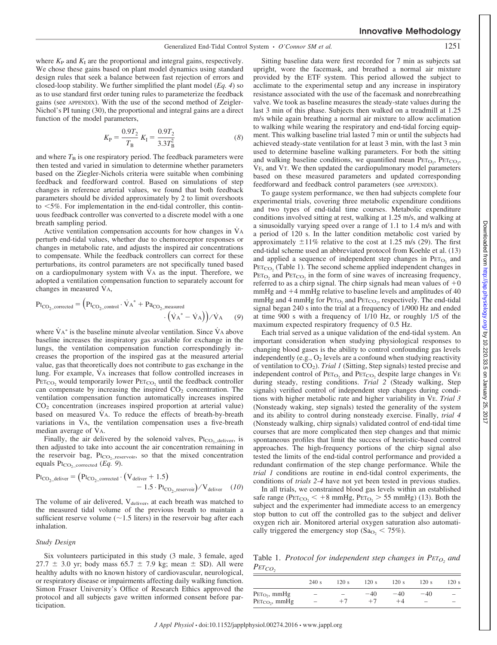where  $K_P$  and  $K_I$  are the proportional and integral gains, respectively. We chose these gains based on plant model dynamics using standard design rules that seek a balance between fast rejection of errors and closed-loop stability. We further simplified the plant model (*Eq. 4*) so as to use standard first order tuning rules to parameterize the feedback gains (see APPENDIX). With the use of the second method of Zeigler-Nichol's PI tuning (30), the proportional and integral gains are a direct function of the model parameters,

$$
K_{\rm P} = \frac{0.9T_2}{T_{\rm B}} K_{\rm I} = \frac{0.9T_2}{3.3T_{\rm B}^2}
$$
 (8)

and where  $T_B$  is one respiratory period. The feedback parameters were then tested and varied in simulation to determine whether parameters based on the Ziegler-Nichols criteria were suitable when combining feedback and feedforward control. Based on simulations of step changes in reference arterial values, we found that both feedback parameters should be divided approximately by 2 to limit overshoots to 5%. For implementation in the end-tidal controller, this continuous feedback controller was converted to a discrete model with a one breath sampling period.

Active ventilation compensation accounts for how changes in VA perturb end-tidal values, whether due to chemoreceptor responses or changes in metabolic rate, and adjusts the inspired air concentrations to compensate. While the feedback controllers can correct for these perturbations, its control parameters are not specifically tuned based on a cardiopulmonary system with  $\overline{V}$  A as the input. Therefore, we adopted a ventilation compensation function to separately account for changes in measured VA,

$$
\begin{aligned} \text{PI}_{\text{CO}_2\text{--corrected}} &= \Big(\text{PI}_{\text{CO}_2\text{--control}}\cdot\dot{\text{V}}\text{A}^* + \text{Pa}_{\text{CO}_2\text{--measured}} \\ &\cdot\Big(\dot{\text{V}}\text{A}^* - \dot{\text{V}}\text{A}\Big)\Big) / \dot{\text{V}}\text{A} \end{aligned} \tag{9}
$$

where  $VA^*$  is the baseline minute alveolar ventilation. Since  $VA$  above baseline increases the inspiratory gas available for exchange in the lungs, the ventilation compensation function correspondingly increases the proportion of the inspired gas at the measured arterial value, gas that theoretically does not contribute to gas exchange in the lung. For example, VA increases that follow controlled increases in  $PET_{CO}$ , would temporarily lower  $PET_{CO}$ , until the feedback controller can compensate by increasing the inspired  $CO<sub>2</sub>$  concentration. The ventilation compensation function automatically increases inspired  $CO<sub>2</sub>$  concentration (increases inspired proportion at arterial value) based on measured VA. To reduce the effects of breath-by-breath variations in VA, the ventilation compensation uses a five-breath median average of V<sub>A</sub>.

Finally, the air delivered by the solenoid valves,  $P_{\text{ICO}_2\text{-deliver}}$ , is then adjusted to take into account the air concentration remaining in the reservoir bag,  $PI_{CO}$ , reservoir, so that the mixed concentration equals  $Pl_{CO_2}$  corrected (*Eq. 9*).

$$
P_{I_{CO_2}\_deliver} = (P_{I_{CO_2}\_corrected} \cdot (V_{deliver} + 1.5) - 1.5 \cdot P_{I_{CO_2}\_reservoir}) / V_{deliver}
$$
 (10)

The volume of air delivered,  $V_{\text{deliver}}$ , at each breath was matched to the measured tidal volume of the previous breath to maintain a sufficient reserve volume ( $\sim$ 1.5 liters) in the reservoir bag after each inhalation.

### *Study Design*

Six volunteers participated in this study (3 male, 3 female, aged  $27.7 \pm 3.0$  yr; body mass  $65.7 \pm 7.9$  kg; mean  $\pm$  SD). All were healthy adults with no known history of cardiovascular, neurological, or respiratory disease or impairments affecting daily walking function. Simon Fraser University's Office of Research Ethics approved the protocol and all subjects gave written informed consent before participation.

Sitting baseline data were first recorded for 7 min as subjects sat upright, wore the facemask, and breathed a normal air mixture provided by the ETF system. This period allowed the subject to acclimate to the experimental setup and any increase in inspiratory resistance associated with the use of the facemask and nonrebreathing valve. We took as baseline measures the steady-state values during the last 3 min of this phase. Subjects then walked on a treadmill at 1.25 m/s while again breathing a normal air mixture to allow acclimation to walking while wearing the respiratory and end-tidal forcing equipment. This walking baseline trial lasted 7 min or until the subjects had achieved steady-state ventilation for at least 3 min, with the last 3 min used to determine baseline walking parameters. For both the sitting and walking baseline conditions, we quantified mean  $PET_{O_2}$ ,  $PET_{CO_2}$ , VE, and VT. We then updated the cardiopulmonary model parameters based on these measured parameters and updated corresponding feedforward and feedback control parameters (see APPENDIX).

To gauge system performance, we then had subjects complete four experimental trials, covering three metabolic expenditure conditions and two types of end-tidal time courses. Metabolic expenditure conditions involved sitting at rest, walking at 1.25 m/s, and walking at a sinusoidally varying speed over a range of 1.1 to 1.4 m/s and with a period of 120 s. In the latter condition metabolic cost varied by approximately  $\pm 11\%$  relative to the cost at 1.25 m/s (29). The first end-tidal scheme used an abbreviated protocol from Koehle et al. (13) and applied a sequence of independent step changes in PET<sub>O2</sub> and  $PET<sub>CO</sub>$  (Table 1). The second scheme applied independent changes in  $PETO<sub>2</sub>$  and  $PETCO<sub>2</sub>$  in the form of sine waves of increasing frequency, referred to as a chirp signal. The chirp signals had mean values of  $+0$ mmHg and  $+4$  mmHg relative to baseline levels and amplitudes of 40 mmHg and 4 mmHg for  $PET_{O_2}$  and  $PET_{CO_2}$ , respectively. The end-tidal signal began 240 s into the trial at a frequency of 1/900 Hz and ended at time 900 s with a frequency of 1/10 Hz, or roughly 1/5 of the maximum expected respiratory frequency of 0.5 Hz.

Each trial served as a unique validation of the end-tidal system. An important consideration when studying physiological responses to changing blood gases is the ability to control confounding gas levels independently (e.g.,  $O_2$  levels are a confound when studying reactivity of ventilation to CO2). *Trial 1* (Sitting, Step signals) tested precise and independent control of  $PETO<sub>2</sub>$  and  $PETCO<sub>2</sub>$  despite large changes in VE during steady, resting conditions. *Trial 2* (Steady walking, Step signals) verified control of independent step changes during conditions with higher metabolic rate and higher variability in VE. *Trial 3* (Nonsteady waking, step signals) tested the generality of the system and its ability to control during nonsteady exercise. Finally, *trial 4* (Nonsteady walking, chirp signals) validated control of end-tidal time courses that are more complicated then step changes and that mimic spontaneous profiles that limit the success of heuristic-based control approaches. The high-frequency portions of the chirp signal also tested the limits of the end-tidal control performance and provided a redundant confirmation of the step change performance. While the *trial 1* conditions are routine in end-tidal control experiments, the conditions of *trials 2-4* have not yet been tested in previous studies.

In all trials, we constrained blood gas levels within an established safe range ( $Perco_2 < +8$  mmHg,  $Perco_2 > 55$  mmHg) (13). Both the subject and the experimenter had immediate access to an emergency stop button to cut off the controlled gas to the subject and deliver oxygen rich air. Monitored arterial oxygen saturation also automatically triggered the emergency stop ( $Sa<sub>O<sub>2</sub></sub> < 75\%$ ).

Table 1. *Protocol for independent step changes in PET<sub>O</sub>, and*  $PETCO$ <sub>2</sub>

|                 | 240s                     | 120 s                    | 120 s | 120 s | 120 s    | 120 s                    |
|-----------------|--------------------------|--------------------------|-------|-------|----------|--------------------------|
| $PETO2$ , mmHg  | $\overline{\phantom{0}}$ | $\overline{\phantom{0}}$ | $-40$ | $-40$ | $-40$    | $\overline{\phantom{a}}$ |
| $PETCO2$ , mmHg | $\overline{\phantom{a}}$ | $+7$                     | $+7$  | $+4$  | $\equiv$ |                          |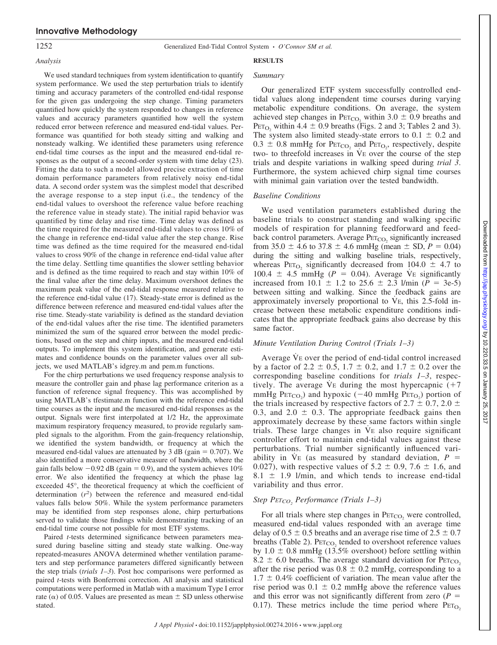# *Analysis*

1252 Generalized End-Tidal Control System • *O'Connor SM et al.*

# We used standard techniques from system identification to quantify system performance. We used the step perturbation trials to identify timing and accuracy parameters of the controlled end-tidal response for the given gas undergoing the step change. Timing parameters quantified how quickly the system responded to changes in reference values and accuracy parameters quantified how well the system reduced error between reference and measured end-tidal values. Performance was quantified for both steady sitting and walking and nonsteady walking. We identified these parameters using reference end-tidal time courses as the input and the measured end-tidal responses as the output of a second-order system with time delay (23). Fitting the data to such a model allowed precise extraction of time domain performance parameters from relatively noisy end-tidal data. A second order system was the simplest model that described the average response to a step input (i.e., the tendency of the end-tidal values to overshoot the reference value before reaching the reference value in steady state). The initial rapid behavior was quantified by time delay and rise time. Time delay was defined as the time required for the measured end-tidal values to cross 10% of the change in reference end-tidal value after the step change. Rise time was defined as the time required for the measured end-tidal values to cross 90% of the change in reference end-tidal value after the time delay. Settling time quantifies the slower settling behavior and is defined as the time required to reach and stay within 10% of the final value after the time delay. Maximum overshoot defines the maximum peak value of the end-tidal response measured relative to the reference end-tidal value (17). Steady-state error is defined as the difference between reference and measured end-tidal values after the rise time. Steady-state variability is defined as the standard deviation of the end-tidal values after the rise time. The identified parameters minimized the sum of the squared error between the model predictions, based on the step and chirp inputs, and the measured end-tidal outputs. To implement this system identification, and generate estimates and confidence bounds on the parameter values over all subjects, we used MATLAB's idgrey.m and pem.m functions.

For the chirp perturbations we used frequency response analysis to measure the controller gain and phase lag performance criterion as a function of reference signal frequency. This was accomplished by using MATLAB's tfestimate.m function with the reference end-tidal time courses as the input and the measured end-tidal responses as the output. Signals were first interpolated at 1/2 Hz, the approximate maximum respiratory frequency measured, to provide regularly sampled signals to the algorithm. From the gain-frequency relationship, we identified the system bandwidth, or frequency at which the measured end-tidal values are attenuated by 3 dB (gain  $= 0.707$ ). We also identified a more conservative measure of bandwidth, where the gain falls below  $-0.92$  dB (gain = 0.9), and the system achieves 10% error. We also identified the frequency at which the phase lag exceeded 45°, the theoretical frequency at which the coefficient of determination ( $r^2$ ) between the reference and measured end-tidal values falls below 50%. While the system performance parameters may be identified from step responses alone, chirp perturbations served to validate those findings while demonstrating tracking of an end-tidal time course not possible for most ETF systems.

Paired *t*-tests determined significance between parameters measured during baseline sitting and steady state walking. One-way repeated-measures ANOVA determined whether ventilation parameters and step performance parameters differed significantly between the step trials (*trials 1–3*). Post hoc comparisons were performed as paired *t*-tests with Bonferroni correction. All analysis and statistical computations were performed in Matlab with a maximum Type I error rate ( $\alpha$ ) of 0.05. Values are presented as mean  $\pm$  SD unless otherwise stated.

# **RESULTS**

# *Summary*

Our generalized ETF system successfully controlled endtidal values along independent time courses during varying metabolic expenditure conditions. On average, the system achieved step changes in  $PETCO<sub>2</sub>$  within 3.0  $\pm$  0.9 breaths and  $\text{Per}_{\text{O}_2}$  within 4.4  $\pm$  0.9 breaths (Figs. 2 and 3; Tables 2 and 3). The system also limited steady-state errors to  $0.1 \pm 0.2$  and  $0.3 \pm 0.8$  mmHg for PET<sub>CO<sub>2</sub></sub> and PET<sub>O<sub>2</sub></sub>, respectively, despite two- to threefold increases in VE over the course of the step trials and despite variations in walking speed during *trial 3*. Furthermore, the system achieved chirp signal time courses with minimal gain variation over the tested bandwidth.

# *Baseline Conditions*

We used ventilation parameters established during the baseline trials to construct standing and walking specific models of respiration for planning feedforward and feedback control parameters. Average  $PET_{CO}$  significantly increased from  $35.0 \pm 4.6$  to  $37.8 \pm 4.6$  mmHg (mean  $\pm$  SD,  $P = 0.04$ ) during the sitting and walking baseline trials, respectively, whereas  $P_{ETO_2}$  significantly decreased from 104.0  $\pm$  4.7 to 100.4  $\pm$  4.5 mmHg ( $P = 0.04$ ). Average VE significantly increased from  $10.1 \pm 1.2$  to  $25.6 \pm 2.3$  l/min ( $P = 3e-5$ ) between sitting and walking. Since the feedback gains are approximately inversely proportional to  $Ve$ , this 2.5-fold increase between these metabolic expenditure conditions indicates that the appropriate feedback gains also decrease by this same factor.

# *Minute Ventilation During Control (Trials 1–3)*

Average V<sub>E</sub> over the period of end-tidal control increased by a factor of 2.2  $\pm$  0.5, 1.7  $\pm$  0.2, and 1.7  $\pm$  0.2 over the corresponding baseline conditions for *trials 1–3*, respectively. The average V $E$  during the most hypercapnic  $(+7)$ mmHg  $PETCO<sub>2</sub>$ ) and hypoxic (-40 mmHg  $PETO<sub>2</sub>$ ) portion of the trials increased by respective factors of 2.7  $\pm$  0.7, 2.0  $\pm$ 0.3, and 2.0  $\pm$  0.3. The appropriate feedback gains then approximately decrease by these same factors within single trials. These large changes in  $V_{E}$  also require significant controller effort to maintain end-tidal values against these perturbations. Trial number significantly influenced variability in V<sub>E</sub> (as measured by standard deviation,  $P =$ 0.027), with respective values of  $5.2 \pm 0.9$ ,  $7.6 \pm 1.6$ , and  $8.1 \pm 1.9$  l/min, and which tends to increase end-tidal variability and thus error.

# *Step PETCO2 Performance (Trials 1–3)*

For all trials where step changes in  $PETCO$ , were controlled, measured end-tidal values responded with an average time delay of  $0.5 \pm 0.5$  breaths and an average rise time of  $2.5 \pm 0.7$ breaths (Table 2).  $PET_{CO}$ , tended to overshoot reference values by  $1.0 \pm 0.8$  mmHg (13.5% overshoot) before settling within 8.2  $\pm$  6.0 breaths. The average standard deviation for  $PET<sub>CO<sub>2</sub>}</sub>$ after the rise period was  $0.8 \pm 0.2$  mmHg, corresponding to a  $1.7 \pm 0.4\%$  coefficient of variation. The mean value after the rise period was  $0.1 \pm 0.2$  mmHg above the reference values and this error was not significantly different from zero  $(P =$ 0.17). These metrics include the time period where  $P_{ETO<sub>2</sub>}$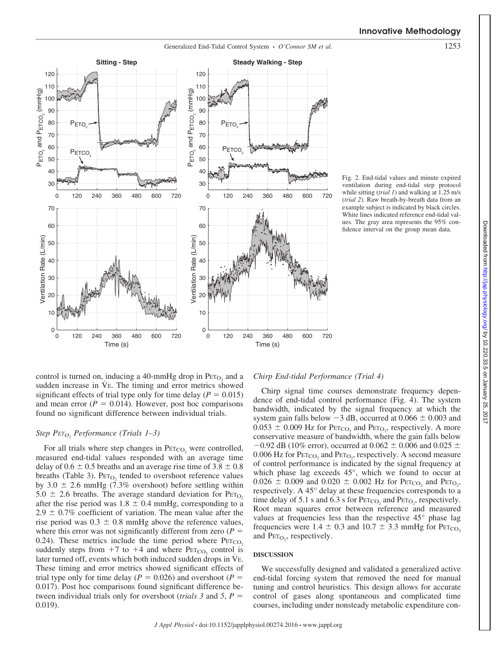

Fig. 2. End-tidal values and minute expired ventilation during end-tidal step protocol while sitting (*trial 1*) and walking at 1.25 m/s (*trial 2*). Raw breath-by-breath data from an example subject is indicated by black circles. White lines indicated reference end-tidal values. The gray area represents the 95% confidence interval on the group mean data.

control is turned on, inducing a 40-mmHg drop in  $PET<sub>O<sub>2</sub></sub>$  and a sudden increase in VE. The timing and error metrics showed significant effects of trial type only for time delay ( $P = 0.015$ ) and mean error  $(P = 0.014)$ . However, post hoc comparisons found no significant difference between individual trials.

# *Step PETO2 Performance (Trials 1–3)*

For all trials where step changes in  $PETCO<sub>2</sub>$ , were controlled, measured end-tidal values responded with an average time delay of  $0.6 \pm 0.5$  breaths and an average rise time of  $3.8 \pm 0.8$ breaths (Table 3).  $P_{ETO_2}$  tended to overshoot reference values by  $3.0 \pm 2.6$  mmHg (7.3% overshoot) before settling within  $5.0 \pm 2.6$  breaths. The average standard deviation for  $Per_{O_2}$ after the rise period was  $1.8 \pm 0.4$  mmHg, corresponding to a  $2.9 \pm 0.7\%$  coefficient of variation. The mean value after the rise period was  $0.3 \pm 0.8$  mmHg above the reference values, where this error was not significantly different from zero  $(P =$ 0.24). These metrics include the time period where  $PETCO<sub>2</sub>$ suddenly steps from  $+7$  to  $+4$  and where PET<sub>CO<sub>2</sub></sub> control is later turned off, events which both induced sudden drops in VE. These timing and error metrics showed significant effects of trial type only for time delay ( $P = 0.026$ ) and overshoot ( $P =$ 0.017). Post hoc comparisons found significant difference between individual trials only for overshoot (*trials 3* and *5*, *P* 0.019).

# *Chirp End-tidal Performance (Trial 4)*

Chirp signal time courses demonstrate frequency dependence of end-tidal control performance (Fig. 4). The system bandwidth, indicated by the signal frequency at which the system gain falls below  $-3$  dB, occurred at 0.066  $\pm$  0.003 and  $0.053 \pm 0.009$  Hz for  $PET_{CO_2}$  and  $PET_{O_2}$ , respectively. A more conservative measure of bandwidth, where the gain falls below  $-0.92$  dB (10% error), occurred at 0.062  $\pm$  0.006 and 0.025  $\pm$ 0.006 Hz for  $PETCO_2$  and  $PETO_2$ , respectively. A second measure of control performance is indicated by the signal frequency at which phase lag exceeds 45°, which we found to occur at  $0.026 \pm 0.009$  and  $0.020 \pm 0.002$  Hz for PET<sub>CO<sub>2</sub></sub> and PET<sub>O<sub>2</sub></sub>, respectively. A 45° delay at these frequencies corresponds to a time delay of 5.1 s and 6.3 s for  $PET_{CO_2}$  and  $PET_{O_2}$ , respectively. Root mean squares error between reference and measured values at frequencies less than the respective 45° phase lag frequencies were  $1.4 \pm 0.3$  and  $10.7 \pm 3.3$  mmHg for  $P_{ETCO_2}$ and  $PETO<sub>2</sub>$ , respectively.

#### **DISCUSSION**

We successfully designed and validated a generalized active end-tidal forcing system that removed the need for manual tuning and control heuristics. This design allows for accurate control of gases along spontaneous and complicated time courses, including under nonsteady metabolic expenditure con-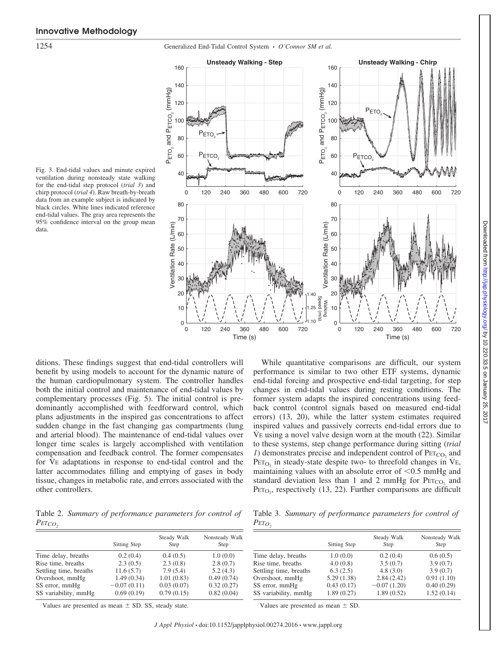

<sup>160</sup> **Unsteady Walking - Step**

CO.

 $P<sub>ETO<sub>2</sub></sub>$ 

0 120 240 360 480 600 720

Time (s) 0 120 240 360 480 600 720

40

Ventilation Rate (L/min)

Ventilation Rate (L/min)

 $0\frac{L}{0}$ 

10  $20$ 

60

80

100

 $\mathsf{P}_{\mathsf{ETO}_2}$  and  $\mathsf{P}_{\mathsf{ETCO}_2}$  (mmHg)

 $P_{ETO_2}$  and  $P_{ETCO_2}$  (mmHg)

120

140

Fig. 3. End-tidal values and minute expired ventilation during nonsteady state walking for the end-tidal step protocol (*trial 3*) and chirp protocol (*trial 4*). Raw breath-by-breath data from an example subject is indicated by black circles. White lines indicated reference end-tidal values. The gray area represents the 95% confidence interval on the group mean data.



Table 2. *Summary of performance parameters for control of*  $PETCO$ <sub>2</sub>

|                        | Sitting Step  | Steady Walk<br>Step | Nonsteady Walk<br><b>Step</b> |
|------------------------|---------------|---------------------|-------------------------------|
| Time delay, breaths    | 0.2(0.4)      | 0.4(0.5)            | 1.0(0.0)                      |
| Rise time, breaths     | 2.3(0.5)      | 2.3(0.8)            | 2.8(0.7)                      |
| Settling time, breaths | 11.6(5.7)     | 7.9(5.4)            | 5.2(4.3)                      |
| Overshoot, mmHg        | 1.49(0.34)    | 1.01(0.83)          | 0.49(0.74)                    |
| SS error, mmHg         | $-0.07(0.11)$ | 0.03(0.07)          | 0.32(0.27)                    |
| SS variability, mmHg   | 0.69(0.19)    | 0.79(0.15)          | 0.82(0.04)                    |
|                        |               |                     |                               |

performance is similar to two other ETF systems, dynamic end-tidal forcing and prospective end-tidal targeting, for step changes in end-tidal values during resting conditions. The former system adapts the inspired concentrations using feedback control (control signals based on measured end-tidal errors) (13, 20), while the latter system estimates required inspired values and passively corrects end-tidal errors due to  $V_{E}$  using a novel valve design worn at the mouth (22). Similar to these systems, step change performance during sitting (*trial*  $I$ ) demonstrates precise and independent control of  $PET_{CO_2}$  and  $PET<sub>O<sub>2</sub></sub>$  in steady-state despite two- to threefold changes in  $VE$ , maintaining values with an absolute error of  $< 0.5$  mmHg and standard deviation less than 1 and 2 mmHg for  $PET_{CO_2}$  and  $P_{ETO<sub>2</sub>}$ , respectively (13, 22). Further comparisons are difficult

While quantitative comparisons are difficult, our system

0 120 240 360 480 600 720

Time (s) 0 120 240 360 480 600 720

**Unsteady Walking - Chirp**<br>160

1.10 1.25 1.40 40

Ventilation Rate (L/min)

Ventilation Rate (L/min)

<sup>ا</sup> 0<br>0

Walking Speed (m/s)

Speed (s/w) 60

**FTCO** 

P<sub>ETO</sub>

80

100

 $\mathsf{P}_{\mathsf{ETO}_2}$  and  $\mathsf{P}_{\mathsf{ETCO}_2}$  (mmHg)

PETO, and PETCO, (mmHg)

120

140

Table 3. *Summary of performance parameters for control of*  $P_{ETO}$ 

|                        | Sitting Step | Steady Walk<br>Step | Nonsteady Walk<br><b>Step</b> |
|------------------------|--------------|---------------------|-------------------------------|
| Time delay, breaths    | 1.0(0.0)     | 0.2(0.4)            | 0.6(0.5)                      |
| Rise time, breaths     | 4.0(0.8)     | 3.5(0.7)            | 3.9(0.7)                      |
| Settling time, breaths | 6.3(2.5)     | 4.8(3.0)            | 3.9(0.7)                      |
| Overshoot, mmHg        | 5.29(1.38)   | 2.84(2.42)          | 0.91(1.10)                    |
| SS error, mmHg         | 0.43(0.17)   | $-0.07(1.20)$       | 0.40(0.29)                    |
| SS variability, mmHg   | 1.89(0.27)   | 1.89(0.52)          | 1.52(0.14)                    |

Downloaded from http://jap.physiology.org/ by 10.220.33.5 on January 25, by 10.220.33.5 on January 25, 2017 <http://jap.physiology.org/> Downloaded from  $2017$ 

Values are presented as mean  $\pm$  SD. SS, steady state.

Values are presented as mean  $\pm$  SD.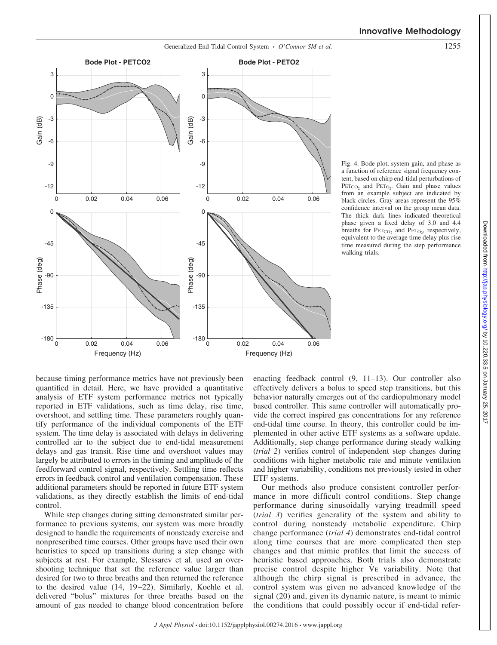

Fig. 4. Bode plot, system gain, and phase as a function of reference signal frequency content, based on chirp end-tidal perturbations of  $PETCO<sub>2</sub>$  and  $PETO<sub>2</sub>$ . Gain and phase values from an example subject are indicated by black circles. Gray areas represent the 95% confidence interval on the group mean data. The thick dark lines indicated theoretical phase given a fixed delay of 3.0 and 4.4 breaths for  $PETCO<sub>2</sub>$  and  $PETO<sub>2</sub>$ , respectively, equivalent to the average time delay plus rise time measured during the step performance walking trials.

because timing performance metrics have not previously been quantified in detail. Here, we have provided a quantitative analysis of ETF system performance metrics not typically reported in ETF validations, such as time delay, rise time, overshoot, and settling time. These parameters roughly quantify performance of the individual components of the ETF system. The time delay is associated with delays in delivering controlled air to the subject due to end-tidal measurement delays and gas transit. Rise time and overshoot values may largely be attributed to errors in the timing and amplitude of the feedforward control signal, respectively. Settling time reflects errors in feedback control and ventilation compensation. These additional parameters should be reported in future ETF system validations, as they directly establish the limits of end-tidal control.

While step changes during sitting demonstrated similar performance to previous systems, our system was more broadly designed to handle the requirements of nonsteady exercise and nonprescribed time courses. Other groups have used their own heuristics to speed up transitions during a step change with subjects at rest. For example, Slessarev et al. used an overshooting technique that set the reference value larger than desired for two to three breaths and then returned the reference to the desired value (14, 19 –22). Similarly, Koehle et al. delivered "bolus" mixtures for three breaths based on the amount of gas needed to change blood concentration before

enacting feedback control (9, 11–13). Our controller also effectively delivers a bolus to speed step transitions, but this behavior naturally emerges out of the cardiopulmonary model based controller. This same controller will automatically provide the correct inspired gas concentrations for any reference end-tidal time course. In theory, this controller could be implemented in other active ETF systems as a software update. Additionally, step change performance during steady walking (*trial 2*) verifies control of independent step changes during conditions with higher metabolic rate and minute ventilation and higher variability, conditions not previously tested in other ETF systems.

Our methods also produce consistent controller performance in more difficult control conditions. Step change performance during sinusoidally varying treadmill speed (*trial 3*) verifies generality of the system and ability to control during nonsteady metabolic expenditure. Chirp change performance (*trial 4*) demonstrates end-tidal control along time courses that are more complicated then step changes and that mimic profiles that limit the success of heuristic based approaches. Both trials also demonstrate precise control despite higher VE variability. Note that although the chirp signal is prescribed in advance, the control system was given no advanced knowledge of the signal (20) and, given its dynamic nature, is meant to mimic the conditions that could possibly occur if end-tidal refer-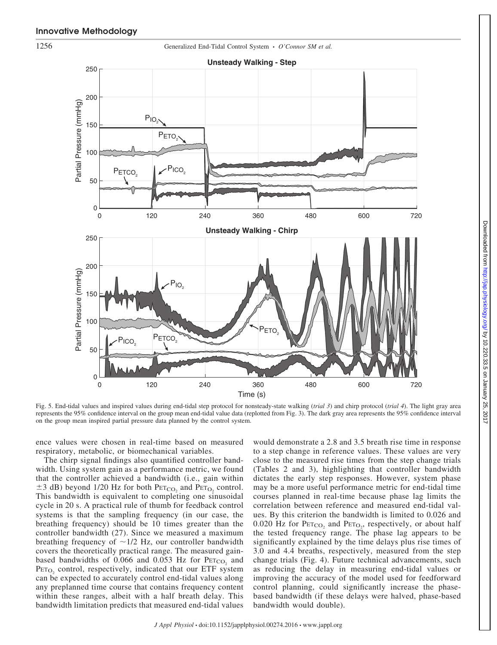

Fig. 5. End-tidal values and inspired values during end-tidal step protocol for nonsteady-state walking (*trial 3*) and chirp protocol (*trial 4*). The light gray area represents the 95% confidence interval on the group mean end-tidal value data (replotted from Fig. 3). The dark gray area represents the 95% confidence interval on the group mean inspired partial pressure data planned by the control system.

ence values were chosen in real-time based on measured respiratory, metabolic, or biomechanical variables.

The chirp signal findings also quantified controller bandwidth. Using system gain as a performance metric, we found that the controller achieved a bandwidth (i.e., gain within  $\pm$ 3 dB) beyond 1/20 Hz for both  $PETCO_2$  and  $PETO_2$  control. This bandwidth is equivalent to completing one sinusoidal cycle in 20 s. A practical rule of thumb for feedback control systems is that the sampling frequency (in our case, the breathing frequency) should be 10 times greater than the controller bandwidth (27). Since we measured a maximum breathing frequency of  $\sim$  1/2 Hz, our controller bandwidth covers the theoretically practical range. The measured gainbased bandwidths of 0.066 and 0.053 Hz for  $PET_{CO}$ , and  $PET<sub>O</sub>$ , control, respectively, indicated that our ETF system can be expected to accurately control end-tidal values along any preplanned time course that contains frequency content within these ranges, albeit with a half breath delay. This bandwidth limitation predicts that measured end-tidal values

would demonstrate a 2.8 and 3.5 breath rise time in response to a step change in reference values. These values are very close to the measured rise times from the step change trials (Tables 2 and 3), highlighting that controller bandwidth dictates the early step responses. However, system phase may be a more useful performance metric for end-tidal time courses planned in real-time because phase lag limits the correlation between reference and measured end-tidal values. By this criterion the bandwidth is limited to 0.026 and  $0.020$  Hz for  $PETCO<sub>2</sub>$  and  $PETO<sub>2</sub>$ , respectively, or about half the tested frequency range. The phase lag appears to be significantly explained by the time delays plus rise times of 3.0 and 4.4 breaths, respectively, measured from the step change trials (Fig. 4). Future technical advancements, such as reducing the delay in measuring end-tidal values or improving the accuracy of the model used for feedforward control planning, could significantly increase the phasebased bandwidth (if these delays were halved, phase-based bandwidth would double).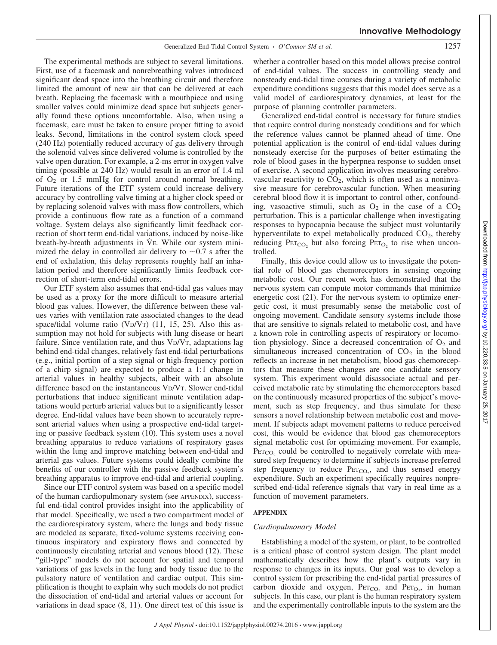The experimental methods are subject to several limitations. First, use of a facemask and nonrebreathing valves introduced significant dead space into the breathing circuit and therefore limited the amount of new air that can be delivered at each breath. Replacing the facemask with a mouthpiece and using smaller valves could minimize dead space but subjects generally found these options uncomfortable. Also, when using a facemask, care must be taken to ensure proper fitting to avoid leaks. Second, limitations in the control system clock speed (240 Hz) potentially reduced accuracy of gas delivery through the solenoid valves since delivered volume is controlled by the valve open duration. For example, a 2-ms error in oxygen valve timing (possible at 240 Hz) would result in an error of 1.4 ml of  $O_2$  or 1.5 mmHg for control around normal breathing. Future iterations of the ETF system could increase delivery accuracy by controlling valve timing at a higher clock speed or by replacing solenoid valves with mass flow controllers, which provide a continuous flow rate as a function of a command voltage. System delays also significantly limit feedback correction of short term end-tidal variations, induced by noise-like breath-by-breath adjustments in VE. While our system minimized the delay in controlled air delivery to  $\sim 0.7$  s after the end of exhalation, this delay represents roughly half an inhalation period and therefore significantly limits feedback correction of short-term end-tidal errors.

Our ETF system also assumes that end-tidal gas values may be used as a proxy for the more difficult to measure arterial blood gas values. However, the difference between these values varies with ventilation rate associated changes to the dead space/tidal volume ratio  $(V_D/V_T)$  (11, 15, 25). Also this assumption may not hold for subjects with lung disease or heart failure. Since ventilation rate, and thus VD/VT, adaptations lag behind end-tidal changes, relatively fast end-tidal perturbations (e.g., initial portion of a step signal or high-frequency portion of a chirp signal) are expected to produce a 1:1 change in arterial values in healthy subjects, albeit with an absolute difference based on the instantaneous VD/VT. Slower end-tidal perturbations that induce significant minute ventilation adaptations would perturb arterial values but to a significantly lesser degree. End-tidal values have been shown to accurately represent arterial values when using a prospective end-tidal targeting or passive feedback system (10). This system uses a novel breathing apparatus to reduce variations of respiratory gases within the lung and improve matching between end-tidal and arterial gas values. Future systems could ideally combine the benefits of our controller with the passive feedback system's breathing apparatus to improve end-tidal and arterial coupling.

Since our ETF control system was based on a specific model of the human cardiopulmonary system (see APPENDIX), successful end-tidal control provides insight into the applicability of that model. Specifically, we used a two compartment model of the cardiorespiratory system, where the lungs and body tissue are modeled as separate, fixed-volume systems receiving continuous inspiratory and expiratory flows and connected by continuously circulating arterial and venous blood (12). These "gill-type" models do not account for spatial and temporal variations of gas levels in the lung and body tissue due to the pulsatory nature of ventilation and cardiac output. This simplification is thought to explain why such models do not predict the dissociation of end-tidal and arterial values or account for variations in dead space (8, 11). One direct test of this issue is

whether a controller based on this model allows precise control of end-tidal values. The success in controlling steady and nonsteady end-tidal time courses during a variety of metabolic expenditure conditions suggests that this model does serve as a valid model of cardiorespiratory dynamics, at least for the purpose of planning controller parameters.

Generalized end-tidal control is necessary for future studies that require control during nonsteady conditions and for which the reference values cannot be planned ahead of time. One potential application is the control of end-tidal values during nonsteady exercise for the purposes of better estimating the role of blood gases in the hyperpnea response to sudden onset of exercise. A second application involves measuring cerebrovascular reactivity to  $CO<sub>2</sub>$ , which is often used as a noninvasive measure for cerebrovascular function. When measuring cerebral blood flow it is important to control other, confounding, vasoactive stimuli, such as  $O_2$  in the case of a  $CO_2$ perturbation. This is a particular challenge when investigating responses to hypocapnia because the subject must voluntarily hyperventilate to expel metabolically produced  $CO<sub>2</sub>$ , thereby reducing  $PET_{CO}$ , but also forcing  $PET_{O}$ , to rise when uncontrolled.

Finally, this device could allow us to investigate the potential role of blood gas chemoreceptors in sensing ongoing metabolic cost. Our recent work has demonstrated that the nervous system can compute motor commands that minimize energetic cost (21). For the nervous system to optimize energetic cost, it must presumably sense the metabolic cost of ongoing movement. Candidate sensory systems include those that are sensitive to signals related to metabolic cost, and have a known role in controlling aspects of respiratory or locomotion physiology. Since a decreased concentration of  $O_2$  and simultaneous increased concentration of  $CO<sub>2</sub>$  in the blood reflects an increase in net metabolism, blood gas chemoreceptors that measure these changes are one candidate sensory system. This experiment would disassociate actual and perceived metabolic rate by stimulating the chemoreceptors based on the continuously measured properties of the subject's movement, such as step frequency, and thus simulate for these sensors a novel relationship between metabolic cost and movement. If subjects adapt movement patterns to reduce perceived cost, this would be evidence that blood gas chemoreceptors signal metabolic cost for optimizing movement. For example,  $PET_{CO}$ , could be controlled to negatively correlate with measured step frequency to determine if subjects increase preferred step frequency to reduce  $PETCO<sub>2</sub>$ , and thus sensed energy expenditure. Such an experiment specifically requires nonprescribed end-tidal reference signals that vary in real time as a function of movement parameters.

# **APPENDIX**

### *Cardiopulmonary Model*

Establishing a model of the system, or plant, to be controlled is a critical phase of control system design. The plant model mathematically describes how the plant's outputs vary in response to changes in its inputs. Our goal was to develop a control system for prescribing the end-tidal partial pressures of carbon dioxide and oxygen,  $PET_{CO_2}$  and  $PET_{O_2}$ , in human subjects. In this case, our plant is the human respiratory system and the experimentally controllable inputs to the system are the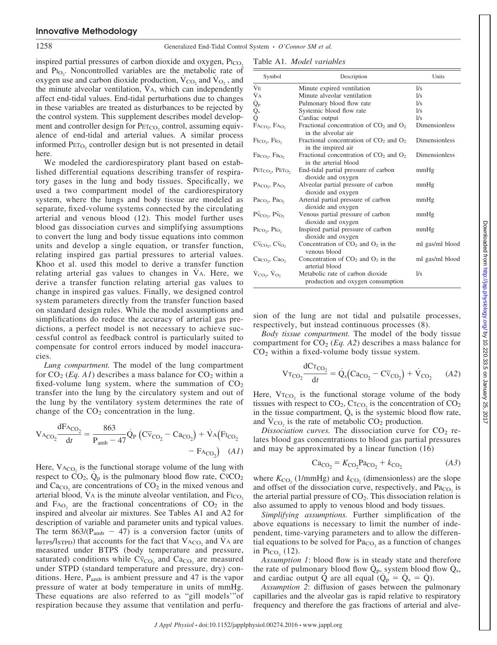1258 Generalized End-Tidal Control System • *O'Connor SM et al.*

inspired partial pressures of carbon dioxide and oxygen,  $P_{\text{ICO}_2}$ and  $Pi_{O_2}$ . Noncontrolled variables are the metabolic rate of oxygen use and carbon dioxide production,  $V_{CO_2}$  and  $V_{O_2}$ , and the minute alveolar ventilation, VA, which can independently affect end-tidal values. End-tidal perturbations due to changes in these variables are treated as disturbances to be rejected by the control system. This supplement describes model development and controller design for  $PET_{CO_2}$  control, assuming equivalence of end-tidal and arterial values. A similar process informed PET<sub>O</sub>, controller design but is not presented in detail here.

We modeled the cardiorespiratory plant based on established differential equations describing transfer of respiratory gases in the lung and body tissues. Specifically, we used a two compartment model of the cardiorespiratory system, where the lungs and body tissue are modeled as separate, fixed-volume systems connected by the circulating arterial and venous blood (12). This model further uses blood gas dissociation curves and simplifying assumptions to convert the lung and body tissue equations into common units and develop a single equation, or transfer function, relating inspired gas partial pressures to arterial values. Khoo et al. used this model to derive a transfer function relating arterial gas values to changes in VA. Here, we derive a transfer function relating arterial gas values to change in inspired gas values. Finally, we designed control system parameters directly from the transfer function based on standard design rules. While the model assumptions and simplifications do reduce the accuracy of arterial gas predictions, a perfect model is not necessary to achieve successful control as feedback control is particularly suited to compensate for control errors induced by model inaccuracies.

*Lung compartment.* The model of the lung compartment for  $CO<sub>2</sub>$  (*Eq. A1*) describes a mass balance for  $CO<sub>2</sub>$  within a fixed-volume lung system, where the summation of  $CO<sub>2</sub>$ transfer into the lung by the circulatory system and out of the lung by the ventilatory system determines the rate of change of the  $CO<sub>2</sub>$  concentration in the lung.

$$
V_{A_{CO_2}} \frac{dF_{A_{CO_2}}}{dt} = \frac{863}{P_{amb} - 47} \dot{Q}_P (C\bar{v}_{CO_2} - Ca_{CO_2}) + \dot{V}_A (F_{CO_2} - F_{A_{CO_2}}) - F_{A_{CO_2}})
$$
(A1)

Here,  $V_{\text{ACO}}$  is the functional storage volume of the lung with respect to  $CO_2$ ,  $\dot{Q}_p$  is the pulmonary blood flow rate,  $\text{Cv}CO_2$ and  $Ca_{CO}$ , are concentrations of  $CO<sub>2</sub>$  in the mixed venous and arterial blood, V $\AA$  is the minute alveolar ventilation, and  $\text{F}_{\text{ICO}_2}$ and  $FA<sub>O</sub>$ , are the fractional concentrations of  $CO<sub>2</sub>$  in the inspired and alveolar air mixtures. See Tables A1 and A2 for description of variable and parameter units and typical values. The term  $863/(P<sub>amb</sub> - 47)$  is a conversion factor (units of  $l_{\text{BTPS}}/l_{\text{STPD}}$ ) that accounts for the fact that  $V_{\text{ACO}}$ , and  $V_{\text{A}}$  are measured under BTPS (body temperature and pressure, saturated) conditions while  $C\bar{v}_{CO_2}$  and  $Ca_{CO_2}$  are measured under STPD (standard temperature and pressure, dry) conditions. Here, Pamb is ambient pressure and 47 is the vapor pressure of water at body temperature in units of mmHg. These equations are also referred to as "gill models'"of respiration because they assume that ventilation and perfu-

Table A1. *Model variables*

| Symbol                                                                           | Description                                                           | Units           |  |
|----------------------------------------------------------------------------------|-----------------------------------------------------------------------|-----------------|--|
| $\overline{\dot{V}E}$                                                            | Minute expired ventilation                                            | 1/s             |  |
| $\overline{V}_{A}$<br>$\overline{Q}_{P}$<br>$\overline{Q}_{s}$<br>$\overline{Q}$ | Minute alveolar ventilation                                           | 1/s             |  |
|                                                                                  | Pulmonary blood flow rate                                             | 1/s             |  |
|                                                                                  | Systemic blood flow rate                                              | 1/s             |  |
|                                                                                  | Cardiac output                                                        | 1/s             |  |
| $FA_{CO_2}$ , $FA_{O_2}$                                                         | Fractional concentration of $CO2$ and $O2$<br>in the alveolar air     | Dimensionless   |  |
| $Fi_{CO}$ , $Fi_{O}$                                                             | Fractional concentration of $CO2$ and $O2$<br>in the inspired air     | Dimensionless   |  |
| $\text{Fac}_{\text{O}}$ , $\text{Fac}_{\text{O}}$                                | Fractional concentration of $CO2$ and $O2$<br>in the arterial blood   | Dimensionless   |  |
| $PETCO2$ , $PETO2$                                                               | End-tidal partial pressure of carbon<br>dioxide and oxygen            | mmHg            |  |
| $P_{ACO_2}$ , $P_{AO_2}$                                                         | Alveolar partial pressure of carbon<br>dioxide and oxygen             | mmHg            |  |
| $Pa_{CO}$ , $Pa_{O}$ ,                                                           | Arterial partial pressure of carbon<br>dioxide and oxygen             | mmHg            |  |
| $P\bar{v}_{CO}$ , $P\bar{v}_{O}$                                                 | Venous partial pressure of carbon<br>dioxide and oxygen               | mmHg            |  |
| $Pl_{CO_2}$ , $Pl_{O_2}$                                                         | Inspired partial pressure of carbon<br>dioxide and oxygen             | mmHg            |  |
| $C\bar{v}_{CO}$ , $C\bar{v}_{O}$ ,                                               | Concentration of $CO2$ and $O2$ in the<br>venous blood                | ml gas/ml blood |  |
| $\text{C}a_{\text{CO}_2}$ , $\text{C}a_{\text{O}_2}$                             | Concentration of $CO2$ and $O2$ in the<br>arterial blood              | ml gas/ml blood |  |
| $V_{CO_2}$ , $V_{O_2}$                                                           | Metabolic rate of carbon dioxide<br>production and oxygen consumption | 1/s             |  |

sion of the lung are not tidal and pulsatile processes, respectively, but instead continuous processes (8).

*Body tissue compartment.* The model of the body tissue compartment for  $CO<sub>2</sub>$  (*Eq. A2*) describes a mass balance for  $CO<sub>2</sub>$  within a fixed-volume body tissue system.

$$
V_{\text{TCO}_2} \frac{dC_{\text{TCO}_2}}{dt} = \dot{Q}_s (Ca_{\text{CO}_2} - C \bar{v}_{\text{CO}_2}) + \dot{V}_{\text{CO}_2}
$$
 (A2)

Here,  $V_{\text{TCO}_2}$  is the functional storage volume of the body tissues with respect to  $CO<sub>2</sub>$ ,  $Cr<sub>CO<sub>2</sub></sub>$  is the concentration of  $CO<sub>2</sub>$ in the tissue compartment,  $Q_s$  is the systemic blood flow rate, and  $V_{CO_2}$  is the rate of metabolic  $CO_2$  production.

*Dissociation curves.* The dissociation curve for  $CO<sub>2</sub>$  relates blood gas concentrations to blood gas partial pressures and may be approximated by a linear function (16)

$$
Ca_{CO_2} = K_{CO_2} Pa_{CO_2} + k_{CO_2}
$$
 (A3)

where  $K_{\text{CO}_2}$  (1/mmHg) and  $k_{\text{CO}_2}$  (dimensionless) are the slope and offset of the dissociation curve, respectively, and  $Pa<sub>CO<sub>2</sub></sub>$  is the arterial partial pressure of  $CO<sub>2</sub>$ . This dissociation relation is also assumed to apply to venous blood and body tissues.

*Simplifying assumptions.* Further simplification of the above equations is necessary to limit the number of independent, time-varying parameters and to allow the differential equations to be solved for  $Pa_{CO}$ , as a function of changes in  $Pl_{CO}$ , (12).

*Assumption 1*: blood flow is in steady state and therefore the rate of pulmonary blood flow  $Q_p$ , system blood flow  $Q_s$ , and cardiac output Q are all equal  $(Q_p = Q_s = Q)$ .

*Assumption 2*: diffusion of gases between the pulmonary capillaries and the alveolar gas is rapid relative to respiratory frequency and therefore the gas fractions of arterial and alve-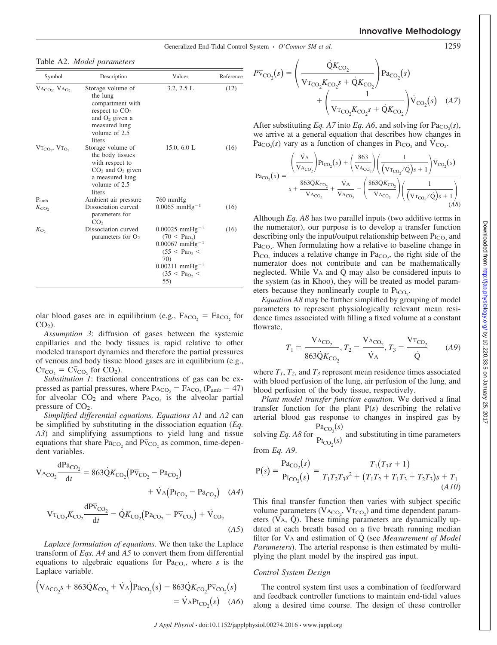# **Innovative Methodology**

Generalized End-Tidal Control System • *O'Connor SM et al.* 1259

### Table A2. *Model parameters*

| Symbol                                 | Description                                                                                                                            | Values                                                                                                                                                                                                   | Reference |
|----------------------------------------|----------------------------------------------------------------------------------------------------------------------------------------|----------------------------------------------------------------------------------------------------------------------------------------------------------------------------------------------------------|-----------|
| $V_{\text{ACO}_2}$ , $V_{\text{AO}_2}$ | Storage volume of<br>the lung<br>compartment with<br>respect to $CO2$<br>and $O_2$ given a<br>measured lung<br>volume of 2.5<br>liters | 3.2, 2.5 L                                                                                                                                                                                               | (12)      |
| $V_{\text{TO}_2}$ , $V_{\text{TO}_2}$  | Storage volume of<br>the body tissues<br>with respect to<br>$CO2$ and $O2$ given<br>a measured lung<br>volume of 2.5<br>liters         | 15.0, $6.0 L$                                                                                                                                                                                            | (16)      |
| $P_{amb}$                              | Ambient air pressure                                                                                                                   | $760$ mmHg                                                                                                                                                                                               |           |
| $K_{CO2}$                              | Dissociation curved<br>parameters for<br>CO <sub>2</sub>                                                                               | $0.0065$ mmHg <sup>-1</sup>                                                                                                                                                                              | (16)      |
| $K_{\text{O}_2}$                       | Dissociation curved<br>parameters for $O2$                                                                                             | $0.00025$ mmHg <sup>-1</sup><br>(70 < Pa <sub>O</sub> )<br>$0.00067$ mmHg <sup>-1</sup><br>(55 < Pa <sub>O</sub> , <<br>70)<br>$0.00211 \text{ mmHg}^{-1}$<br>(35 < Pa <sub>O<sub>2</sub></sub> )<br>55) | (16)      |

olar blood gases are in equilibrium (e.g.,  $FA_{CO_2} = Fa_{CO_2}$  for  $CO<sub>2</sub>$ ).

*Assumption 3*: diffusion of gases between the systemic capillaries and the body tissues is rapid relative to other modeled transport dynamics and therefore the partial pressures of venous and body tissue blood gases are in equilibrium (e.g.,  $\text{Cr}_{\text{CO}_2} = \overline{\text{Cv}}_{\text{CO}_2}$  for  $\text{CO}_2$ ).

*Substitution 1*: fractional concentrations of gas can be expressed as partial pressures, where  $P_{ACO_2} = F_{ACO_2} (P_{amb} - 47)$ for alveolar  $CO<sub>2</sub>$  and where  $P_{ACO<sub>2</sub>}$  is the alveolar partial pressure of  $CO<sub>2</sub>$ .

*Simplified differential equations. Equations A1* and *A2* can be simplified by substituting in the dissociation equation (*Eq. A3*) and simplifying assumptions to yield lung and tissue equations that share  $Pa_{CO_2}$  and  $P\bar{v}_{CO_2}$  as common, time-dependent variables.

$$
V_{A_{CO_2}} \frac{dP_{a_{CO_2}}}{dt} = 863 \dot{Q} K_{CO_2} (P \overline{V}_{CO_2} - P a_{CO_2})
$$

$$
+ \dot{V}_A (P I_{CO_2} - P a_{CO_2}) \quad (A4)
$$

$$
V_{T_{CO_2}} K_{CO_2} \frac{dP \overline{V}_{CO_2}}{dt} = \dot{Q} K_{CO_2} (P a_{CO_2} - P \overline{V}_{CO_2}) + \dot{V}_{CO_2} \quad (A5)
$$

*Laplace formulation of equations.* We then take the Laplace transform of *Eqs. A4* and *A5* to convert them from differential equations to algebraic equations for  $Pa_{CO_2}$ , where *s* is the Laplace variable.

$$
(V_{A_{CO_2}s} + 863QK_{CO_2} + V_A)Pa_{CO_2}(s) - 863QK_{CO_2}P\bar{v}_{CO_2}(s)
$$
  
=  $V_AP_{CO_2}(s)$  (A6)

$$
P\overline{v}_{\text{CO}_2}(s) = \left(\frac{\dot{Q}K_{\text{CO}_2}}{V_{\text{TCO}_2}K_{\text{CO}_2}s + \dot{Q}K_{\text{CO}_2}}\right) \text{Pa}_{\text{CO}_2}(s) + \left(\frac{1}{V_{\text{TCO}_2}K_{\text{CO}_2}s + \dot{Q}K_{\text{CO}_2}}\right)\dot{V}_{\text{CO}_2}(s) \quad (A7)
$$

After substituting *Eq. A7* into *Eq. A6*, and solving for  $Pa_{CO_2}(s)$ , we arrive at a general equation that describes how changes in Pa<sub>CO<sub>2</sub></sub>(s) vary as a function of changes in P<sub>ICO<sub>2</sub></sub> and  $\dot{V}_{CO_2}$ .

$$
Pa_{CO_2}(s) = \frac{\left(\frac{\dot{V}_{A}}{V_{A_{CO_2}}}\right)P_{ICO_2}(s) + \left(\frac{863}{V_{A_{CO_2}}}\right)\left(\frac{1}{\left(V_{T_{CO_2}}\right)\dot{Q}}s + 1\right)\dot{V}_{CO_2}(s)}{s + \frac{863\dot{Q}K_{CO_2}}{V_{A_{CO_2}}} + \frac{\dot{V}_{A}}{V_{A_{CO_2}}}-\left(\frac{863\dot{Q}K_{CO_2}}{V_{A_{CO_2}}}\right)\left(\frac{1}{\left(V_{T_{CO_2}}\right)\dot{Q}}s + 1\right)}
$$
(A8)

Although *Eq. A8* has two parallel inputs (two additive terms in the numerator), our purpose is to develop a transfer function describing only the input/output relationship between  $P_{\text{ICO}_2}$  and  $Pa<sub>CO</sub>$ . When formulating how a relative to baseline change in  $P_{\text{ICO}_2}$  induces a relative change in  $Pa_{\text{CO}_2}$ , the right side of the numerator does not contribute and can be mathematically neglected. While V<sub>A</sub> and Q may also be considered inputs to the system (as in Khoo), they will be treated as model parameters because they nonlinearly couple to  $P_{\text{ICO}_2}$ .

*Equation A8* may be further simplified by grouping of model parameters to represent physiologically relevant mean residence times associated with filling a fixed volume at a constant flowrate,

$$
T_1 = \frac{V_{A_{CO_2}}}{863\dot{Q}K_{CO_2}}, T_2 = \frac{V_{A_{CO_2}}}{\dot{V}_A}, T_3 = \frac{V_{T_{CO_2}}}{\dot{Q}} \qquad (A9)
$$

where  $T_1$ ,  $T_2$ , and  $T_3$  represent mean residence times associated with blood perfusion of the lung, air perfusion of the lung, and blood perfusion of the body tissue, respectively.

*Plant model transfer function equation.* We derived a final transfer function for the plant P(*s*) describing the relative arterial blood gas response to changes in inspired gas by solving *Eq.* A8 for  $\frac{\text{Pa}_{\text{CO}_2}(s)}{\text{Pa}_{\text{CO}_2}(s)}$ 

 $\frac{1}{P_{I_{CO_2}}(s)}$  and substituting in time parameters from *Eq. A9*.

$$
P(s) = \frac{Pa_{CO_2}(s)}{P_{CO_2}(s)} = \frac{T_1(T_3s + 1)}{T_1T_2T_3s^2 + (T_1T_2 + T_1T_3 + T_2T_3)s + T_1}
$$
\n(A10)

This final transfer function then varies with subject specific volume parameters ( $V_{\text{ACO}_2}$ ,  $V_{\text{TCO}_2}$ ) and time dependent parameters (VA, Q). These timing parameters are dynamically updated at each breath based on a five breath running median filter for VA and estimation of Q (see *Measurement of Model Parameters*). The arterial response is then estimated by multiplying the plant model by the inspired gas input.

# *Control System Design*

The control system first uses a combination of feedforward and feedback controller functions to maintain end-tidal values along a desired time course. The design of these controller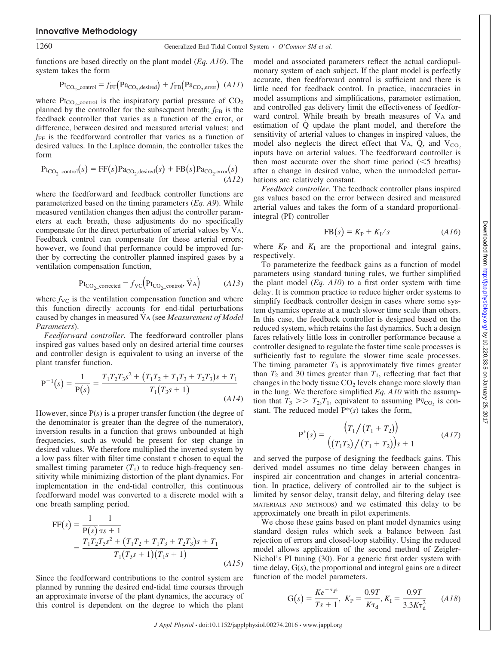functions are based directly on the plant model (*Eq. A10*). The system takes the form

$$
P_{\text{ICO}_{2}\text{-control}} = f_{\text{FF}}(Pa_{\text{CO}_{2},\text{desired}}) + f_{\text{FB}}(Pa_{\text{CO}_{2},\text{error}}) \ (A11)
$$

where  $PI_{CO_2\_{control}}$  is the inspiratory partial pressure of  $CO_2$ planned by the controller for the subsequent breath;  $f_{FB}$  is the feedback controller that varies as a function of the error, or difference, between desired and measured arterial values; and *f*<sub>FF</sub> is the feedforward controller that varies as a function of desired values. In the Laplace domain, the controller takes the form

$$
P_{\text{ICO}_{2}\text{-control}}(s) = FF(s)P_{\text{aco}_{2}\text{-desired}}(s) + FB(s)P_{\text{aco}_{2}\text{-error}}(s)
$$
\n(A12)

where the feedforward and feedback controller functions are parameterized based on the timing parameters (*Eq. A9*). While measured ventilation changes then adjust the controller parameters at each breath, these adjustments do no specifically compensate for the direct perturbation of arterial values by VA. Feedback control can compensate for these arterial errors; however, we found that performance could be improved further by correcting the controller planned inspired gases by a ventilation compensation function,

$$
P_{\text{ICO}_{2}\text{-corrected}} = f_{\text{VC}} \left( P_{\text{ICO}_{2}\text{-control}}, \dot{V}_{\text{A}} \right) \tag{A13}
$$

where  $f_{\text{VC}}$  is the ventilation compensation function and where this function directly accounts for end-tidal perturbations caused by changes in measured VA (see *Measurement of Model Parameters*).

*Feedforward controller.* The feedforward controller plans inspired gas values based only on desired arterial time courses and controller design is equivalent to using an inverse of the plant transfer function.

$$
P^{-1}(s) = \frac{1}{P(s)} = \frac{T_1 T_2 T_3 s^2 + (T_1 T_2 + T_1 T_3 + T_2 T_3) s + T_1}{T_1 (T_3 s + 1)}
$$
\n(A14)

However, since  $P(s)$  is a proper transfer function (the degree of the denominator is greater than the degree of the numerator), inversion results in a function that grows unbounded at high frequencies, such as would be present for step change in desired values. We therefore multiplied the inverted system by a low pass filter with filter time constant  $\tau$  chosen to equal the smallest timing parameter  $(T_1)$  to reduce high-frequency sensitivity while minimizing distortion of the plant dynamics. For implementation in the end-tidal controller, this continuous feedforward model was converted to a discrete model with a one breath sampling period.

$$
FF(s) = \frac{1}{P(s)} \frac{1}{\tau s + 1}
$$
  
= 
$$
\frac{T_1 T_2 T_3 s^2 + (T_1 T_2 + T_1 T_3 + T_2 T_3) s + T_1}{T_1 (T_3 s + 1) (T_1 s + 1)}
$$
 (A15)

Since the feedforward contributions to the control system are planned by running the desired end-tidal time courses through an approximate inverse of the plant dynamics, the accuracy of this control is dependent on the degree to which the plant model and associated parameters reflect the actual cardiopulmonary system of each subject. If the plant model is perfectly accurate, then feedforward control is sufficient and there is little need for feedback control. In practice, inaccuracies in model assumptions and simplifications, parameter estimation, and controlled gas delivery limit the effectiveness of feedforward control. While breath by breath measures of VA and estimation of Q˙ update the plant model, and therefore the sensitivity of arterial values to changes in inspired values, the model also neglects the direct effect that V<sub>A</sub>, Q, and V<sub>CO2</sub>. inputs have on arterial values. The feedforward controller is then most accurate over the short time period  $(<5$  breaths) after a change in desired value, when the unmodeled perturbations are relatively constant.

*Feedback controller.* The feedback controller plans inspired gas values based on the error between desired and measured arterial values and takes the form of a standard proportionalintegral (PI) controller

$$
FB(s) = K_P + K_I/s \tag{A16}
$$

where  $K_P$  and  $K_I$  are the proportional and integral gains, respectively.

To parameterize the feedback gains as a function of model parameters using standard tuning rules, we further simplified the plant model (*Eq. A10*) to a first order system with time delay. It is common practice to reduce higher order systems to simplify feedback controller design in cases where some system dynamics operate at a much slower time scale than others. In this case, the feedback controller is designed based on the reduced system, which retains the fast dynamics. Such a design faces relatively little loss in controller performance because a controller designed to regulate the faster time scale processes is sufficiently fast to regulate the slower time scale processes. The timing parameter  $T_3$  is approximately five times greater than  $T_2$  and 30 times greater than  $T_1$ , reflecting that fact that changes in the body tissue  $CO<sub>2</sub>$  levels change more slowly than in the lung. We therefore simplified *Eq. A10* with the assumption that  $T_3 \gg T_2, T_1$ , equivalent to assuming  $\overline{P}_{\text{CO}_2}$  is constant. The reduced model P\*(*s*) takes the form,

$$
P^*(s) = \frac{\left(T_1/(T_1 + T_2)\right)}{\left(\left(T_1 T_2\right)/(T_1 + T_2)\right)s + 1} \tag{A17}
$$

and served the purpose of designing the feedback gains. This derived model assumes no time delay between changes in inspired air concentration and changes in arterial concentration. In practice, delivery of controlled air to the subject is limited by sensor delay, transit delay, and filtering delay (see MATERIALS AND METHODS) and we estimated this delay to be approximately one breath in pilot experiments.

We chose these gains based on plant model dynamics using standard design rules which seek a balance between fast rejection of errors and closed-loop stability. Using the reduced model allows application of the second method of Zeigler-Nichol's PI tuning (30). For a generic first order system with time delay, G(*s*), the proportional and integral gains are a direct function of the model parameters.

$$
G(s) = \frac{Ke^{-\tau_d s}}{Ts + 1}, \ K_P = \frac{0.9T}{K\tau_d}, \ K_I = \frac{0.9T}{3.3K\tau_d^2} \qquad (A18)
$$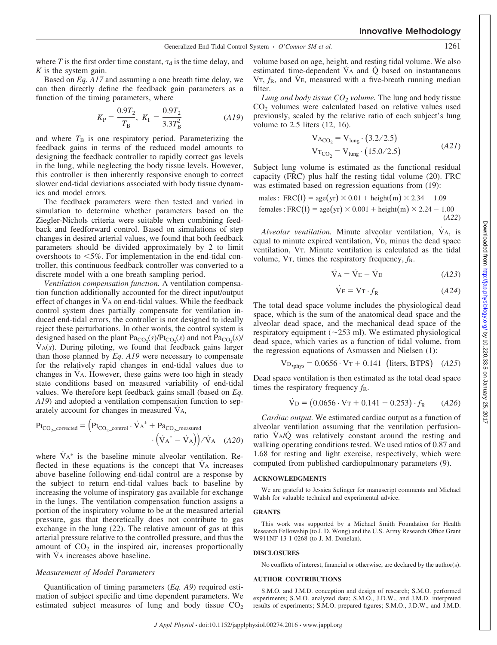where  $T$  is the first order time constant,  $\tau_d$  is the time delay, and *K* is the system gain.

Based on *Eq. A17* and assuming a one breath time delay, we can then directly define the feedback gain parameters as a function of the timing parameters, where

$$
K_{\rm P} = \frac{0.9T_2}{T_{\rm B}}, \ K_{\rm I} = \frac{0.9T_2}{3.3T_{\rm B}^2} \tag{A19}
$$

and where  $T<sub>B</sub>$  is one respiratory period. Parameterizing the feedback gains in terms of the reduced model amounts to designing the feedback controller to rapidly correct gas levels in the lung, while neglecting the body tissue levels. However, this controller is then inherently responsive enough to correct slower end-tidal deviations associated with body tissue dynamics and model errors.

The feedback parameters were then tested and varied in simulation to determine whether parameters based on the Ziegler-Nichols criteria were suitable when combining feedback and feedforward control. Based on simulations of step changes in desired arterial values, we found that both feedback parameters should be divided approximately by 2 to limit overshoots to  $<$  5%. For implementation in the end-tidal controller, this continuous feedback controller was converted to a discrete model with a one breath sampling period.

*Ventilation compensation function.* A ventilation compensation function additionally accounted for the direct input/output effect of changes in VA on end-tidal values. While the feedback control system does partially compensate for ventilation induced end-tidal errors, the controller is not designed to ideally reject these perturbations. In other words, the control system is designed based on the plant  $Pa_{CO_2}(s)/P_{ICO_2}(s)$  and not  $Pa_{CO_2}(s)/P_{ICO_2}(s)$  $VA(s)$ . During piloting, we found that feedback gains larger than those planned by *Eq. A19* were necessary to compensate for the relatively rapid changes in end-tidal values due to changes in VA. However, these gains were too high in steady state conditions based on measured variability of end-tidal values. We therefore kept feedback gains small (based on *Eq. A19*) and adopted a ventilation compensation function to separately account for changes in measured VA,

$$
P_{\text{ICO}_{2}\text{-corrected}} = (P_{\text{ICO}_{2}\text{-control}} \cdot \dot{V}_{A}^{*} + P_{\text{2CO}_{2}\text{-measured}} \cdot (\dot{V}_{A}^{*} - \dot{V}_{A})) / \dot{V}_{A} \quad (A20)
$$

where  $VA^*$  is the baseline minute alveolar ventilation. Reflected in these equations is the concept that VA increases above baseline following end-tidal control are a response by the subject to return end-tidal values back to baseline by increasing the volume of inspiratory gas available for exchange in the lungs. The ventilation compensation function assigns a portion of the inspiratory volume to be at the measured arterial pressure, gas that theoretically does not contribute to gas exchange in the lung (22). The relative amount of gas at this arterial pressure relative to the controlled pressure, and thus the amount of  $CO<sub>2</sub>$  in the inspired air, increases proportionally with VA increases above baseline.

# *Measurement of Model Parameters*

Quantification of timing parameters (*Eq. A9*) required estimation of subject specific and time dependent parameters. We estimated subject measures of lung and body tissue  $CO<sub>2</sub>$  volume based on age, height, and resting tidal volume. We also estimated time-dependent VA and Q based on instantaneous  $V_T$ ,  $f_R$ , and  $V_E$ , measured with a five-breath running median filter.

*Lung and body tissue CO2 volume.* The lung and body tissue CO2 volumes were calculated based on relative values used previously, scaled by the relative ratio of each subject's lung volume to 2.5 liters (12, 16).

$$
V_{ACO_2} = V_{lung} \cdot (3.2/2.5)
$$
  
\n
$$
V_{TCO_2} = V_{lung} \cdot (15.0/2.5)
$$
 (A21)

Subject lung volume is estimated as the functional residual capacity (FRC) plus half the resting tidal volume (20). FRC was estimated based on regression equations from (19):

males : FRCl ageyr 0.01 heightm 2.34 1.09 females : FRCl ageyr 0.001 heightm 2.24 1.00 (*A22*)

*Alveolar ventilation.* Minute alveolar ventilation, VA, is equal to minute expired ventilation, V<sub>D</sub>, minus the dead space ventilation, VT. Minute ventilation is calculated as the tidal volume, VT, times the respiratory frequency, *f*R.

$$
\dot{V}_A = \dot{V}_E - \dot{V}_D \tag{A23}
$$

$$
\dot{\mathbf{V}}_{\mathbf{E}} = \mathbf{V}_{\mathbf{T}} \cdot f_{\mathbf{R}} \tag{A24}
$$

The total dead space volume includes the physiological dead space, which is the sum of the anatomical dead space and the alveolar dead space, and the mechanical dead space of the respiratory equipment ( $\sim$ 253 ml). We estimated physiological dead space, which varies as a function of tidal volume, from the regression equations of Asmussen and Nielsen (1):

$$
V_{D,phys} = 0.0656 \cdot V_T + 0.141 \text{ (litters, BTPS)} \quad (A25)
$$

Dead space ventilation is then estimated as the total dead space times the respiratory frequency *f*R.

$$
\dot{V}_D = (0.0656 \cdot V_T + 0.141 + 0.253) \cdot f_R \qquad (A26)
$$

*Cardiac output.* We estimated cardiac output as a function of alveolar ventilation assuming that the ventilation perfusionratio VA/Q was relatively constant around the resting and walking operating conditions tested. We used ratios of 0.87 and 1.68 for resting and light exercise, respectively, which were computed from published cardiopulmonary parameters (9).

#### **ACKNOWLEDGMENTS**

We are grateful to Jessica Selinger for manuscript comments and Michael Walsh for valuable technical and experimental advice.

### **GRANTS**

This work was supported by a Michael Smith Foundation for Health Research Fellowship (to J. D. Wong) and the U.S. Army Research Office Grant W911NF-13-1-0268 (to J. M. Donelan).

#### **DISCLOSURES**

No conflicts of interest, financial or otherwise, are declared by the author(s).

#### **AUTHOR CONTRIBUTIONS**

S.M.O. and J.M.D. conception and design of research; S.M.O. performed experiments; S.M.O. analyzed data; S.M.O., J.D.W., and J.M.D. interpreted results of experiments; S.M.O. prepared figures; S.M.O., J.D.W., and J.M.D.